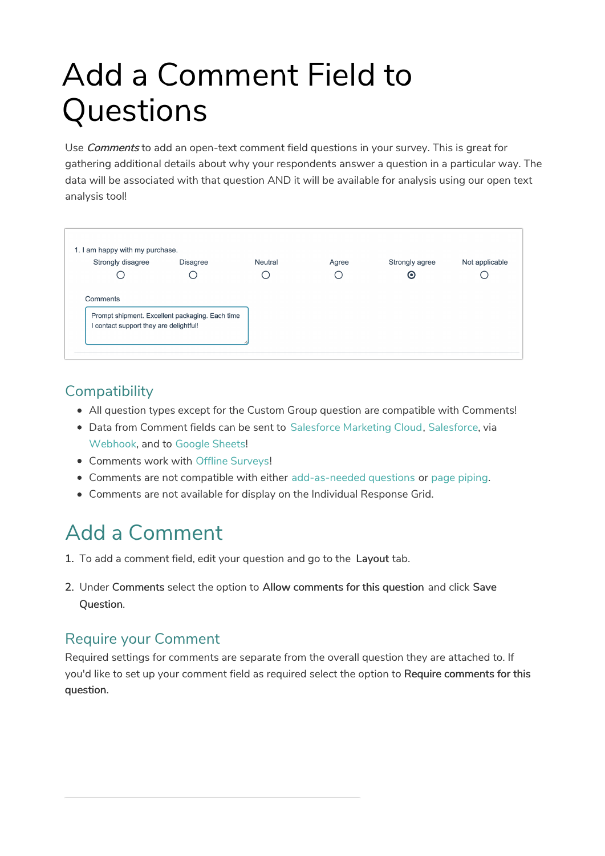# Add a Comment Field to Questions

Use *Comments* to add an open-text comment field questions in your survey. This is great for gathering additional details about why your respondents answer a question in a particular way. The data will be associated with that question AND it will be available for analysis using our open text analysis tool!



### **Compatibility**

- All question types except for the Custom Group question are compatible with Comments!
- Data from Comment fields can be sent to Salesforce Marketing Cloud, Salesforce, via Webhook, and to Google Sheets!
- Comments work with Offline Surveys!
- Comments are not compatible with either add-as-needed questions or page piping.
- Comments are not available for display on the Individual Response Grid.

# Add a Comment

- 1. To add a comment field, edit your question and go to the Layout tab.
- 2. Under Comments select the option to Allow comments for this question and click Save Question.

### Require your Comment

Required settings for comments are separate from the overall question they are attached to. If you'd like to set up your comment field as required select the option to Require comments for this question.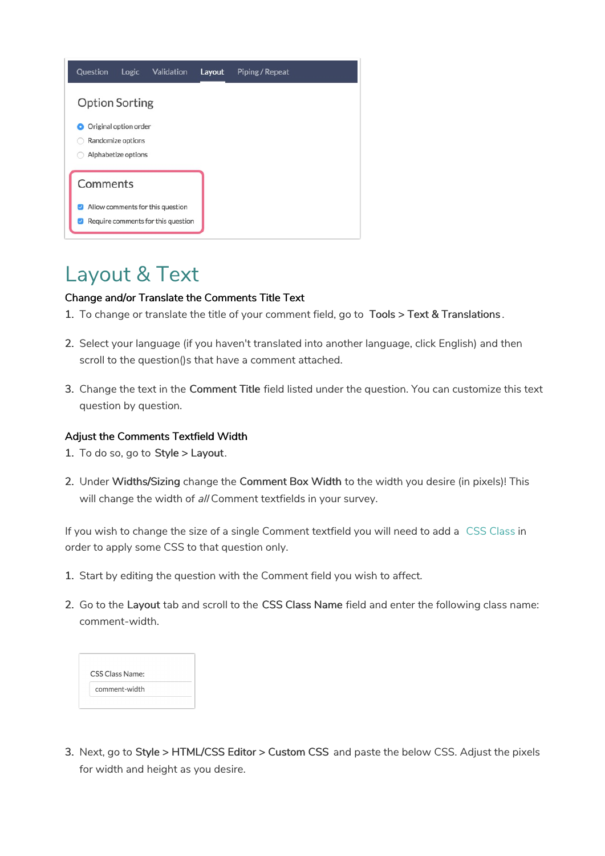| Question              | Logic                                      | <b>Validation</b>                                                      | Layout | Piping / Repeat |  |
|-----------------------|--------------------------------------------|------------------------------------------------------------------------|--------|-----------------|--|
| <b>Option Sorting</b> |                                            |                                                                        |        |                 |  |
|                       | Original option order<br>Randomize options |                                                                        |        |                 |  |
|                       | Alphabetize options                        |                                                                        |        |                 |  |
| Comments              |                                            |                                                                        |        |                 |  |
| ✓                     |                                            | Allow comments for this question<br>Require comments for this question |        |                 |  |

### Layout & Text

#### Change and/or Translate the Comments Title Text

- 1. To change or translate the title of your comment field, go to Tools > Text & Translations .
- 2. Select your language (if you haven't translated into another language, click English) and then scroll to the question()s that have a comment attached.
- 3. Change the text in the Comment Title field listed under the question. You can customize this text question by question.

#### Adjust the Comments Textfield Width

- 1. To do so, go to Style > Layout.
- 2. Under Widths/Sizing change the Comment Box Width to the width you desire (in pixels)! This will change the width of all Comment textfields in your survey.

If you wish to change the size of a single Comment textfield you will need to add a CSS Class in order to apply some CSS to that question only.

- 1. Start by editing the question with the Comment field you wish to affect.
- 2. Go to the Layout tab and scroll to the CSS Class Name field and enter the following class name: comment-width.

| CSS Class Name: |  |  |  |
|-----------------|--|--|--|
| comment-width   |  |  |  |

3. Next, go to Style > HTML/CSS Editor > Custom CSS and paste the below CSS. Adjust the pixels for width and height as you desire.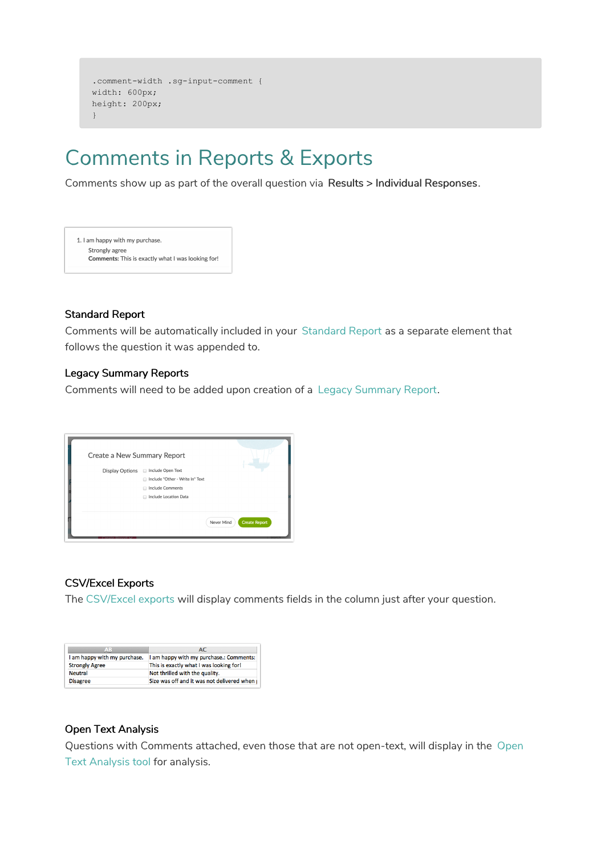```
.comment-width .sg-input-comment {
width: 600px;
height: 200px;
}
```
## Comments in Reports & Exports

Comments show up as part of the overall question via Results > Individual Responses.



#### Standard Report

Comments will be automatically included in your Standard Report as a separate element that follows the question it was appended to.

#### Legacy Summary Reports

Comments will need to be added upon creation of a Legacy Summary Report.



#### CSV/Excel Exports

The CSV/Excel exports will display comments fields in the column just after your question.

| AB                           | AC                                           |  |  |  |  |
|------------------------------|----------------------------------------------|--|--|--|--|
| I am happy with my purchase. | I am happy with my purchase.: Comments:      |  |  |  |  |
| <b>Strongly Agree</b>        | This is exactly what I was looking for!      |  |  |  |  |
| <b>Neutral</b>               | Not thrilled with the quality.               |  |  |  |  |
| <b>Disagree</b>              | Size was off and it was not delivered when I |  |  |  |  |

#### Open Text Analysis

Questions with Comments attached, even those that are not open-text, will display in the Open Text Analysis tool for analysis.